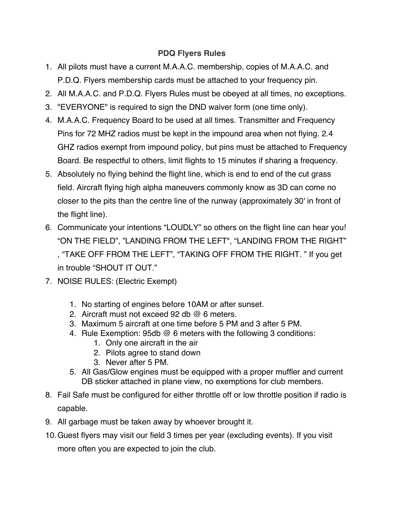## **PDQ Flyers Rules**

- 1. All pilots must have a current M.A.A.C. membership, copies of M.A.A.C. and P.D.Q. Flyers membership cards must be attached to your frequency pin.
- 2. All M.A.A.C. and P.D.Q. Flyers Rules must be obeyed at all times, no exceptions.
- 3. "EVERYONE" is required to sign the DND waiver form (one time only).
- 4. M.A.A.C. Frequency Board to be used at all times. Transmitter and Frequency Pins for 72 MHZ radios must be kept in the impound area when not flying. 2.4 GHZ radios exempt from impound policy, but pins must be attached to Frequency Board. Be respectful to others, limit flights to 15 minutes if sharing a frequency.
- 5. Absolutely no flying behind the flight line, which is end to end of the cut grass field. Aircraft flying high alpha maneuvers commonly know as 3D can come no closer to the pits than the centre line of the runway (approximately 30' in front of the flight line).
- 6. Communicate your intentions "LOUDLY" so others on the flight line can hear you! "ON THE FIELD", "LANDING FROM THE LEFT", "LANDING FROM THE RIGHT" , "TAKE OFF FROM THE LEFT", "TAKING OFF FROM THE RIGHT. " If you get in trouble "SHOUT IT OUT."
- 7. NOISE RULES: (Electric Exempt)
	- 1. No starting of engines before 10AM or after sunset.
	- 2. Aircraft must not exceed 92 db @ 6 meters.
	- 3. Maximum 5 aircraft at one time before 5 PM and 3 after 5 PM.
	- 4. Rule Exemption: 95db @ 6 meters with the following 3 conditions:
		- 1. Only one aircraft in the air
		- 2. Pilots agree to stand down
		- 3. Never after 5 PM.
	- 5. All Gas/Glow engines must be equipped with a proper muffler and current DB sticker attached in plane view, no exemptions for club members.
- 8. Fail Safe must be configured for either throttle off or low throttle position if radio is capable.
- 9. All garbage must be taken away by whoever brought it.
- 10.Guest flyers may visit our field 3 times per year (excluding events). If you visit more often you are expected to join the club.